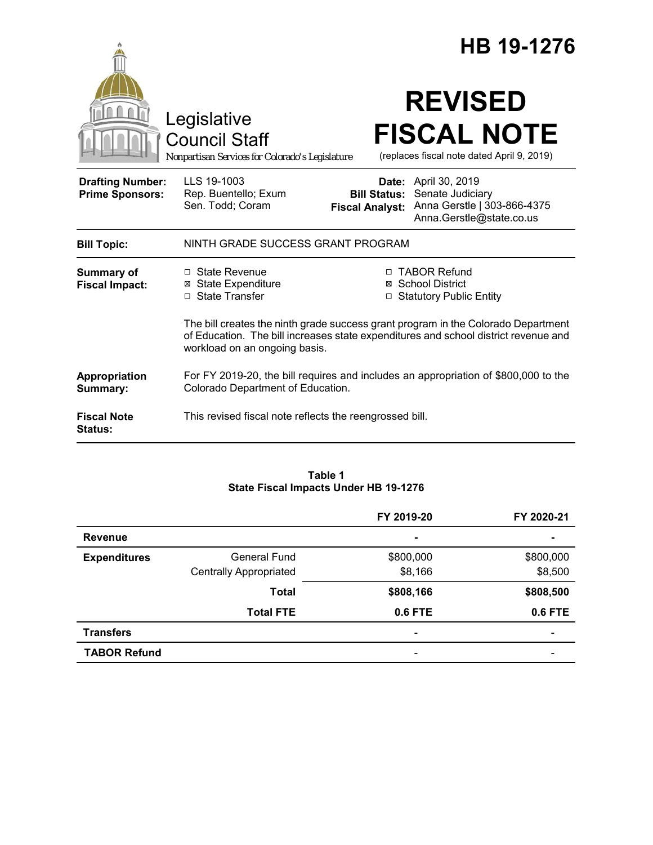|                                                   |                                                                                                                                                                                                           |                                               | HB 19-1276                                                                                          |
|---------------------------------------------------|-----------------------------------------------------------------------------------------------------------------------------------------------------------------------------------------------------------|-----------------------------------------------|-----------------------------------------------------------------------------------------------------|
|                                                   | Legislative<br><b>Council Staff</b><br>Nonpartisan Services for Colorado's Legislature                                                                                                                    |                                               | <b>REVISED</b><br><b>FISCAL NOTE</b><br>(replaces fiscal note dated April 9, 2019)                  |
| <b>Drafting Number:</b><br><b>Prime Sponsors:</b> | LLS 19-1003<br>Rep. Buentello; Exum<br>Sen. Todd; Coram                                                                                                                                                   | <b>Bill Status:</b><br><b>Fiscal Analyst:</b> | Date: April 30, 2019<br>Senate Judiciary<br>Anna Gerstle   303-866-4375<br>Anna.Gerstle@state.co.us |
| <b>Bill Topic:</b>                                | NINTH GRADE SUCCESS GRANT PROGRAM                                                                                                                                                                         |                                               |                                                                                                     |
| <b>Summary of</b><br><b>Fiscal Impact:</b>        | □ State Revenue<br><b>⊠ State Expenditure</b><br>□ State Transfer                                                                                                                                         |                                               | □ TABOR Refund<br>⊠ School District<br>□ Statutory Public Entity                                    |
|                                                   | The bill creates the ninth grade success grant program in the Colorado Department<br>of Education. The bill increases state expenditures and school district revenue and<br>workload on an ongoing basis. |                                               |                                                                                                     |
| Appropriation<br>Summary:                         | For FY 2019-20, the bill requires and includes an appropriation of \$800,000 to the<br>Colorado Department of Education.                                                                                  |                                               |                                                                                                     |
| <b>Fiscal Note</b><br><b>Status:</b>              | This revised fiscal note reflects the reengrossed bill.                                                                                                                                                   |                                               |                                                                                                     |

### **Table 1 State Fiscal Impacts Under HB 19-1276**

|                     |                               | FY 2019-20                   | FY 2020-21               |
|---------------------|-------------------------------|------------------------------|--------------------------|
| <b>Revenue</b>      |                               | $\blacksquare$               | $\blacksquare$           |
| <b>Expenditures</b> | <b>General Fund</b>           | \$800,000                    | \$800,000                |
|                     | <b>Centrally Appropriated</b> | \$8,166                      | \$8,500                  |
|                     | <b>Total</b>                  | \$808,166                    | \$808,500                |
|                     | <b>Total FTE</b>              | 0.6 FTE                      | 0.6 FTE                  |
| <b>Transfers</b>    |                               | $\qquad \qquad \blacksquare$ | $\overline{\phantom{0}}$ |
| <b>TABOR Refund</b> |                               | $\qquad \qquad \blacksquare$ |                          |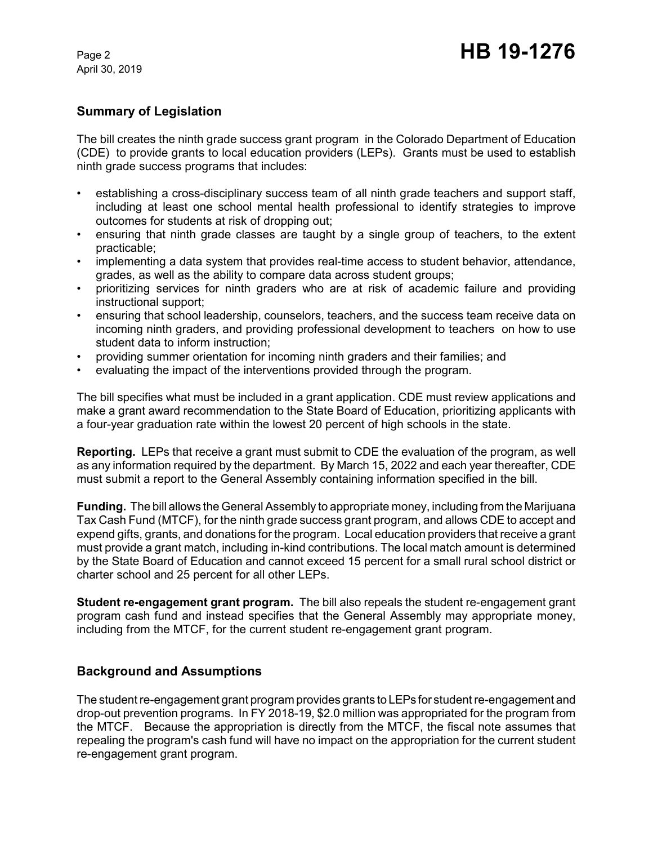April 30, 2019

### **Summary of Legislation**

The bill creates the ninth grade success grant program in the Colorado Department of Education (CDE) to provide grants to local education providers (LEPs). Grants must be used to establish ninth grade success programs that includes:

- establishing a cross-disciplinary success team of all ninth grade teachers and support staff, including at least one school mental health professional to identify strategies to improve outcomes for students at risk of dropping out;
- ensuring that ninth grade classes are taught by a single group of teachers, to the extent practicable;
- implementing a data system that provides real-time access to student behavior, attendance, grades, as well as the ability to compare data across student groups;
- prioritizing services for ninth graders who are at risk of academic failure and providing instructional support;
- ensuring that school leadership, counselors, teachers, and the success team receive data on incoming ninth graders, and providing professional development to teachers on how to use student data to inform instruction;
- providing summer orientation for incoming ninth graders and their families; and
- evaluating the impact of the interventions provided through the program.

The bill specifies what must be included in a grant application. CDE must review applications and make a grant award recommendation to the State Board of Education, prioritizing applicants with a four-year graduation rate within the lowest 20 percent of high schools in the state.

**Reporting.** LEPs that receive a grant must submit to CDE the evaluation of the program, as well as any information required by the department. By March 15, 2022 and each year thereafter, CDE must submit a report to the General Assembly containing information specified in the bill.

**Funding.** The bill allows the General Assembly to appropriate money, including from the Marijuana Tax Cash Fund (MTCF), for the ninth grade success grant program, and allows CDE to accept and expend gifts, grants, and donations for the program. Local education providers that receive a grant must provide a grant match, including in-kind contributions. The local match amount is determined by the State Board of Education and cannot exceed 15 percent for a small rural school district or charter school and 25 percent for all other LEPs.

**Student re-engagement grant program.** The bill also repeals the student re-engagement grant program cash fund and instead specifies that the General Assembly may appropriate money, including from the MTCF, for the current student re-engagement grant program.

### **Background and Assumptions**

The student re-engagement grant program provides grants to LEPs for student re-engagement and drop-out prevention programs. In FY 2018-19, \$2.0 million was appropriated for the program from the MTCF. Because the appropriation is directly from the MTCF, the fiscal note assumes that repealing the program's cash fund will have no impact on the appropriation for the current student re-engagement grant program.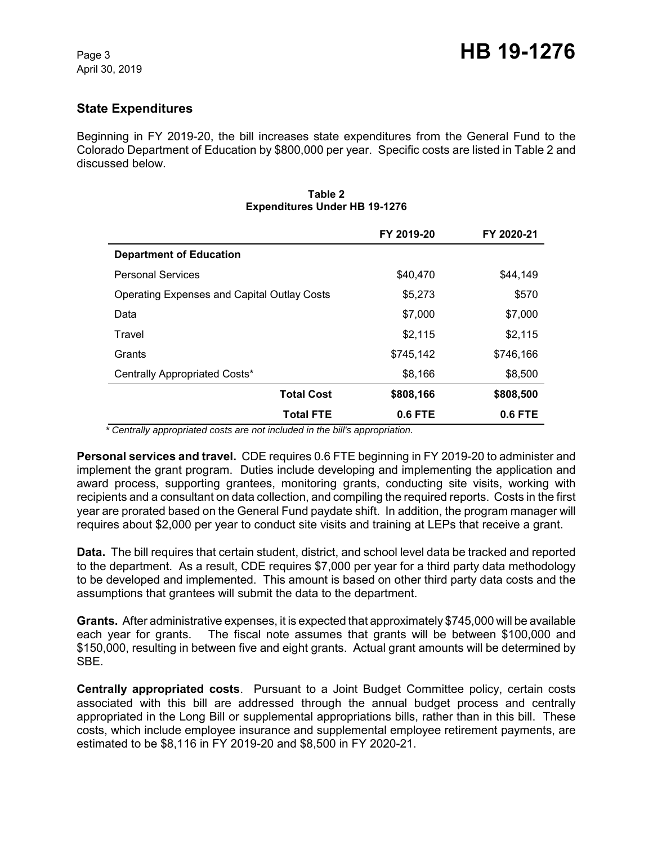## **State Expenditures**

Beginning in FY 2019-20, the bill increases state expenditures from the General Fund to the Colorado Department of Education by \$800,000 per year. Specific costs are listed in Table 2 and discussed below.

|                                                    | FY 2019-20 | FY 2020-21 |
|----------------------------------------------------|------------|------------|
| <b>Department of Education</b>                     |            |            |
| <b>Personal Services</b>                           | \$40,470   | \$44,149   |
| <b>Operating Expenses and Capital Outlay Costs</b> | \$5,273    | \$570      |
| Data                                               | \$7,000    | \$7,000    |
| Travel                                             | \$2,115    | \$2,115    |
| Grants                                             | \$745,142  | \$746,166  |
| Centrally Appropriated Costs*                      | \$8,166    | \$8,500    |
| <b>Total Cost</b>                                  | \$808,166  | \$808,500  |
| <b>Total FTE</b>                                   | 0.6 FTE    | $0.6$ FTE  |

#### **Table 2 Expenditures Under HB 19-1276**

 *\* Centrally appropriated costs are not included in the bill's appropriation.*

**Personal services and travel.** CDE requires 0.6 FTE beginning in FY 2019-20 to administer and implement the grant program. Duties include developing and implementing the application and award process, supporting grantees, monitoring grants, conducting site visits, working with recipients and a consultant on data collection, and compiling the required reports. Costs in the first year are prorated based on the General Fund paydate shift. In addition, the program manager will requires about \$2,000 per year to conduct site visits and training at LEPs that receive a grant.

**Data.** The bill requires that certain student, district, and school level data be tracked and reported to the department. As a result, CDE requires \$7,000 per year for a third party data methodology to be developed and implemented. This amount is based on other third party data costs and the assumptions that grantees will submit the data to the department.

**Grants.** After administrative expenses, it is expected that approximately \$745,000 will be available each year for grants. The fiscal note assumes that grants will be between \$100,000 and \$150,000, resulting in between five and eight grants. Actual grant amounts will be determined by SBE.

**Centrally appropriated costs**. Pursuant to a Joint Budget Committee policy, certain costs associated with this bill are addressed through the annual budget process and centrally appropriated in the Long Bill or supplemental appropriations bills, rather than in this bill. These costs, which include employee insurance and supplemental employee retirement payments, are estimated to be \$8,116 in FY 2019-20 and \$8,500 in FY 2020-21.